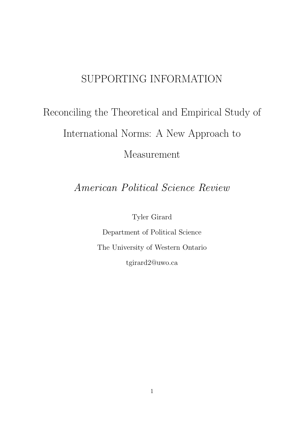# SUPPORTING INFORMATION

# Reconciling the Theoretical and Empirical Study of International Norms: A New Approach to Measurement

# American Political Science Review

Tyler Girard

Department of Political Science The University of Western Ontario tgirard2@uwo.ca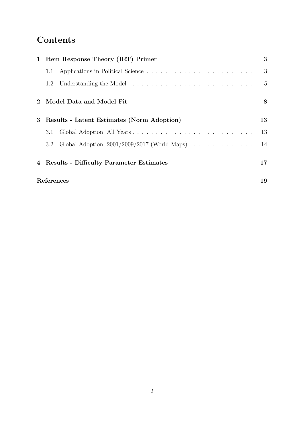# Contents

| $\mathbf{1}$ | Item Response Theory (IRT) Primer                 | 3  |
|--------------|---------------------------------------------------|----|
|              | 1.1                                               | 3  |
|              | 1.2                                               | 5  |
|              | 2 Model Data and Model Fit                        | 8  |
| 3            | <b>Results - Latent Estimates (Norm Adoption)</b> | 13 |
|              | Global Adoption, All Years<br>3.1                 | 13 |
|              | $3.2^{\circ}$                                     | 14 |
|              | 4 Results - Difficulty Parameter Estimates        | 17 |
|              | References                                        | 19 |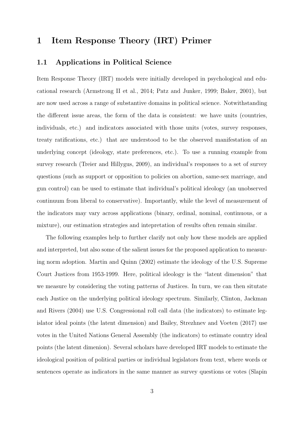### <span id="page-2-0"></span>1 Item Response Theory (IRT) Primer

#### <span id="page-2-1"></span>1.1 Applications in Political Science

Item Response Theory (IRT) models were initially developed in psychological and educational research [\(Armstrong II et al.,](#page-18-0) [2014;](#page-18-0) [Patz and Junker,](#page-19-0) [1999;](#page-19-0) [Baker,](#page-18-1) [2001\)](#page-18-1), but are now used across a range of substantive domains in political science. Notwithstanding the different issue areas, the form of the data is consistent: we have units (countries, individuals, etc.) and indicators associated with those units (votes, survey responses, treaty ratifications, etc.) that are understood to be the observed manifestation of an underlying concept (ideology, state preferences, etc.). To use a running example from survey research [\(Treier and Hillygus,](#page-19-1) [2009\)](#page-19-1), an individual's responses to a set of survey questions (such as support or opposition to policies on abortion, same-sex marriage, and gun control) can be used to estimate that individual's political ideology (an unobserved continuum from liberal to conservative). Importantly, while the level of measurement of the indicators may vary across applications (binary, ordinal, nominal, continuous, or a mixture), our estimation strategies and intepretation of results often remain similar.

The following examples help to further clarify not only how these models are applied and interpreted, but also some of the salient issues for the proposed application to measuring norm adoption. [Martin and Quinn](#page-19-2) [\(2002\)](#page-19-2) estimate the ideology of the U.S. Supreme Court Justices from 1953-1999. Here, political ideology is the "latent dimension" that we measure by considering the voting patterns of Justices. In turn, we can then situtate each Justice on the underlying political ideology spectrum. Similarly, [Clinton, Jackman](#page-18-2) [and Rivers](#page-18-2) [\(2004\)](#page-18-2) use U.S. Congressional roll call data (the indicators) to estimate legislator ideal points (the latent dimension) and [Bailey, Strezhnev and Voeten](#page-18-3) [\(2017\)](#page-18-3) use votes in the United Nations General Assembly (the indicators) to estimate country ideal points (the latent dimenion). Several scholars have developed IRT models to estimate the ideological position of political parties or individual legislators from text, where words or sentences operate as indicators in the same manner as survey questions or votes [\(Slapin](#page-19-3)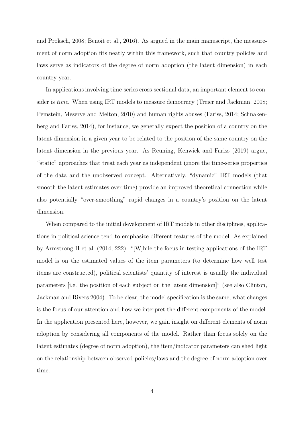[and Proksch,](#page-19-3) [2008;](#page-19-3) [Benoit et al.,](#page-18-4) [2016\)](#page-18-4). As argued in the main manuscript, the measurement of norm adoption fits neatly within this framework, such that country policies and laws serve as indicators of the degree of norm adoption (the latent dimension) in each country-year.

In applications involving time-series cross-sectional data, an important element to consider is time. When using IRT models to measure democracy [\(Treier and Jackman,](#page-19-4) [2008;](#page-19-4) [Pemstein, Meserve and Melton,](#page-19-5) [2010\)](#page-19-5) and human rights abuses [\(Fariss,](#page-18-5) [2014;](#page-18-5) [Schnaken](#page-19-6)[berg and Fariss,](#page-19-6) [2014\)](#page-19-6), for instance, we generally expect the position of a country on the latent dimension in a given year to be related to the position of the same country on the latent dimension in the previous year. As [Reuning, Kenwick and Fariss](#page-19-7) [\(2019\)](#page-19-7) argue, "static" approaches that treat each year as independent ignore the time-series properties of the data and the unobserved concept. Alternatively, "dynamic" IRT models (that smooth the latent estimates over time) provide an improved theoretical connection while also potentially "over-smoothing" rapid changes in a country's position on the latent dimension.

When compared to the initial development of IRT models in other disciplines, applications in political science tend to emphasize different features of the model. As explained by [Armstrong II et al.](#page-18-0) [\(2014,](#page-18-0) 222): "[W]hile the focus in testing applications of the IRT model is on the estimated values of the item parameters (to determine how well test items are constructed), political scientists' quantity of interest is usually the individual parameters [i.e. the position of each subject on the latent dimension]" (see also [Clinton,](#page-18-2) [Jackman and Rivers](#page-18-2) [2004\)](#page-18-2). To be clear, the model specification is the same, what changes is the focus of our attention and how we interpret the different components of the model. In the application presented here, however, we gain insight on different elements of norm adoption by considering all components of the model. Rather than focus solely on the latent estimates (degree of norm adoption), the item/indicator parameters can shed light on the relationship between observed policies/laws and the degree of norm adoption over time.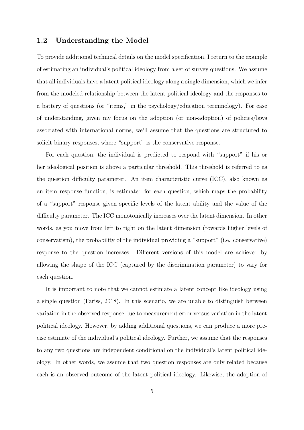#### <span id="page-4-0"></span>1.2 Understanding the Model

To provide additional technical details on the model specification, I return to the example of estimating an individual's political ideology from a set of survey questions. We assume that all individuals have a latent political ideology along a single dimension, which we infer from the modeled relationship between the latent political ideology and the responses to a battery of questions (or "items," in the psychology/education terminology). For ease of understanding, given my focus on the adoption (or non-adoption) of policies/laws associated with international norms, we'll assume that the questions are structured to solicit binary responses, where "support" is the conservative response.

For each question, the individual is predicted to respond with "support" if his or her ideological position is above a particular threshold. This threshold is referred to as the question difficulty parameter. An item characteristic curve (ICC), also known as an item response function, is estimated for each question, which maps the probability of a "support" response given specific levels of the latent ability and the value of the difficulty parameter. The ICC monotonically increases over the latent dimension. In other words, as you move from left to right on the latent dimension (towards higher levels of conservatism), the probability of the individual providing a "support" (i.e. conservative) response to the question increases. Different versions of this model are achieved by allowing the shape of the ICC (captured by the discrimination parameter) to vary for each question.

It is important to note that we cannot estimate a latent concept like ideology using a single question [\(Fariss,](#page-18-6) [2018\)](#page-18-6). In this scenario, we are unable to distinguish between variation in the observed response due to measurement error versus variation in the latent political ideology. However, by adding additional questions, we can produce a more precise estimate of the individual's political ideology. Further, we assume that the responses to any two questions are independent conditional on the individual's latent political ideology. In other words, we assume that two question responses are only related because each is an observed outcome of the latent political ideology. Likewise, the adoption of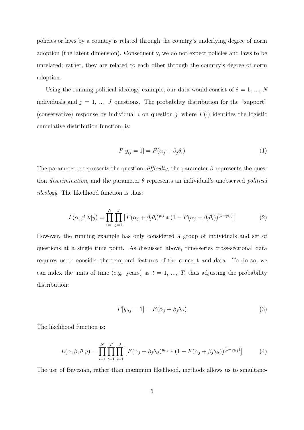policies or laws by a country is related through the country's underlying degree of norm adoption (the latent dimension). Consequently, we do not expect policies and laws to be unrelated; rather, they are related to each other through the country's degree of norm adoption.

Using the running political ideology example, our data would consist of  $i = 1, ..., N$ individuals and  $j = 1, \ldots, J$  questions. The probability distribution for the "support" (conservative) response by individual i on question j, where  $F(\cdot)$  identifies the logistic cumulative distribution function, is:

$$
P[y_{ij} = 1] = F(\alpha_j + \beta_j \theta_i)
$$
\n<sup>(1)</sup>

The parameter  $\alpha$  represents the question difficulty, the parameter  $\beta$  represents the question *discrimination*, and the parameter  $\theta$  represents an individual's unobserved *political* ideology. The likelihood function is thus:

$$
L(\alpha, \beta, \theta | y) = \prod_{i=1}^{N} \prod_{j=1}^{J} \left[ F(\alpha_j + \beta_j \theta_i)^{y_{ij}} * (1 - F(\alpha_j + \beta_j \theta_i))^{(1 - y_{ij})} \right]
$$
(2)

However, the running example has only considered a group of individuals and set of questions at a single time point. As discussed above, time-series cross-sectional data requires us to consider the temporal features of the concept and data. To do so, we can index the units of time (e.g. years) as  $t = 1, ..., T$ , thus adjusting the probability distribution:

$$
P[y_{itj} = 1] = F(\alpha_j + \beta_j \theta_{it})
$$
\n(3)

The likelihood function is:

$$
L(\alpha, \beta, \theta | y) = \prod_{i=1}^{N} \prod_{t=1}^{T} \prod_{j=1}^{J} \left[ F(\alpha_j + \beta_j \theta_{it})^{y_{itj}} * (1 - F(\alpha_j + \beta_j \theta_{it}))^{(1 - y_{itj})} \right]
$$
(4)

The use of Bayesian, rather than maximum likelihood, methods allows us to simultane-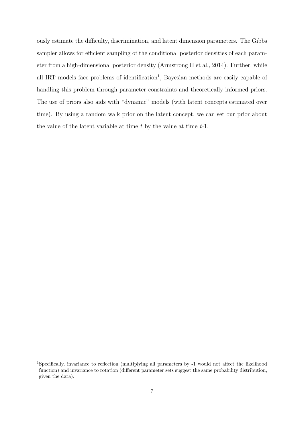ously estimate the difficulty, discrimination, and latent dimension parameters. The Gibbs sampler allows for efficient sampling of the conditional posterior densities of each parameter from a high-dimensional posterior density [\(Armstrong II et al.,](#page-18-0) [2014\)](#page-18-0). Further, while all IRT models face problems of identification<sup>[1](#page-6-0)</sup>, Bayesian methods are easily capable of handling this problem through parameter constraints and theoretically informed priors. The use of priors also aids with "dynamic" models (with latent concepts estimated over time). By using a random walk prior on the latent concept, we can set our prior about the value of the latent variable at time  $t$  by the value at time  $t-1$ .

<span id="page-6-0"></span><sup>1</sup>Specifically, invariance to reflection (multiplying all parameters by -1 would not affect the likelihood function) and invariance to rotation (different parameter sets suggest the same probability distribution, given the data).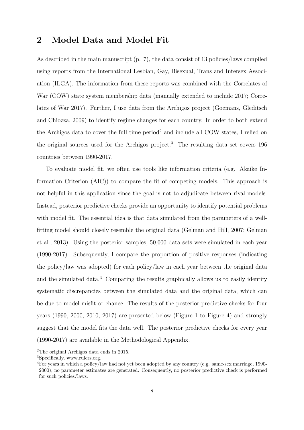### <span id="page-7-0"></span>2 Model Data and Model Fit

As described in the main manuscript (p. 7), the data consist of 13 policies/laws compiled using reports from the International Lesbian, Gay, Bisexual, Trans and Intersex Association (ILGA). The information from these reports was combined with the Correlates of War (COW) state system membership data (manually extended to include 2017; [Corre](#page-18-7)[lates of War](#page-18-7) [2017\)](#page-18-7). Further, I use data from the Archigos project [\(Goemans, Gleditsch](#page-19-8) [and Chiozza,](#page-19-8) [2009\)](#page-19-8) to identify regime changes for each country. In order to both extend the Archigos data to cover the full time period<sup>[2](#page-7-1)</sup> and include all COW states, I relied on the original sources used for the Archigos project.[3](#page-7-2) The resulting data set covers 196 countries between 1990-2017.

To evaluate model fit, we often use tools like information criteria (e.g. Akaike Information Criterion (AIC)) to compare the fit of competing models. This approach is not helpful in this application since the goal is not to adjudicate between rival models. Instead, posterior predictive checks provide an opportunity to identify potential problems with model fit. The essential idea is that data simulated from the parameters of a wellfitting model should closely resemble the original data [\(Gelman and Hill,](#page-18-8) [2007;](#page-18-8) [Gelman](#page-19-9) [et al.,](#page-19-9) [2013\)](#page-19-9). Using the posterior samples, 50,000 data sets were simulated in each year (1990-2017). Subsequently, I compare the proportion of positive responses (indicating the policy/law was adopted) for each policy/law in each year between the original data and the simulated data.<sup>[4](#page-7-3)</sup> Comparing the results graphically allows us to easily identify systematic discrepancies between the simulated data and the original data, which can be due to model misfit or chance. The results of the posterior predictive checks for four years (1990, 2000, 2010, 2017) are presented below (Figure 1 to Figure 4) and strongly suggest that the model fits the data well. The posterior predictive checks for every year (1990-2017) are available in the Methodological Appendix.

<span id="page-7-1"></span><sup>&</sup>lt;sup>2</sup>The original Archigos data ends in 2015.

<span id="page-7-2"></span><sup>3</sup>Specifically, www.rulers.org.

<span id="page-7-3"></span><sup>4</sup>For years in which a policy/law had not yet been adopted by any country (e.g. same-sex marriage, 1990- 2000), no parameter estimates are generated. Consequently, no posterior predictive check is performed for such policies/laws.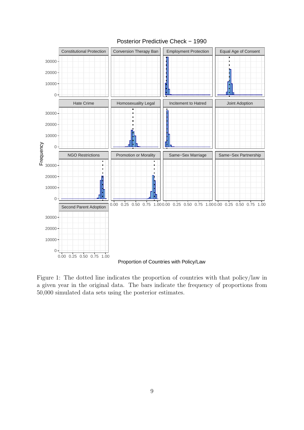

#### Posterior Predictive Check − 1990

Figure 1: The dotted line indicates the proportion of countries with that policy/law in a given year in the original data. The bars indicate the frequency of proportions from 50,000 simulated data sets using the posterior estimates.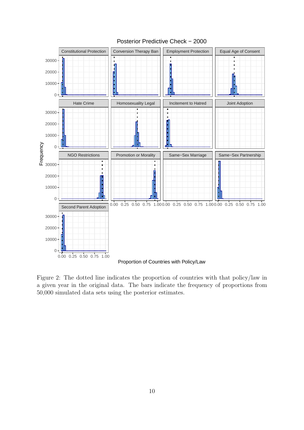

Posterior Predictive Check − 2000

Figure 2: The dotted line indicates the proportion of countries with that policy/law in a given year in the original data. The bars indicate the frequency of proportions from 50,000 simulated data sets using the posterior estimates.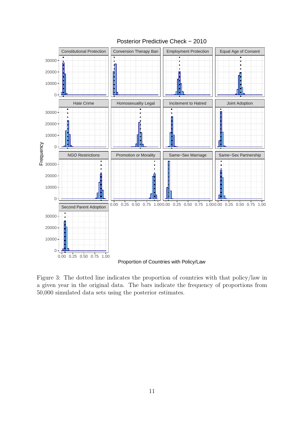

#### Posterior Predictive Check − 2010

Figure 3: The dotted line indicates the proportion of countries with that policy/law in a given year in the original data. The bars indicate the frequency of proportions from 50,000 simulated data sets using the posterior estimates.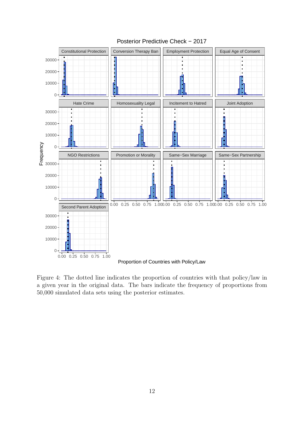

Posterior Predictive Check − 2017

Figure 4: The dotted line indicates the proportion of countries with that policy/law in a given year in the original data. The bars indicate the frequency of proportions from 50,000 simulated data sets using the posterior estimates.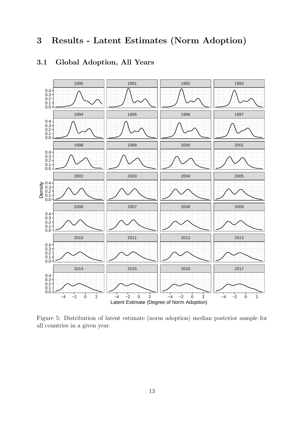### <span id="page-12-0"></span>3 Results - Latent Estimates (Norm Adoption)



#### <span id="page-12-1"></span>3.1 Global Adoption, All Years

Figure 5: Distribution of latent estimate (norm adoption) median posterior sample for all countries in a given year.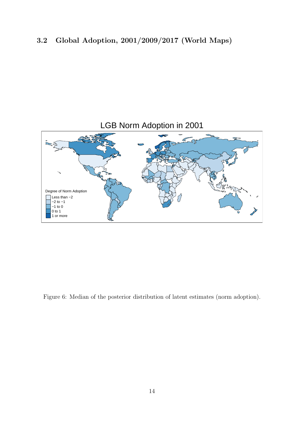### <span id="page-13-0"></span>3.2 Global Adoption, 2001/2009/2017 (World Maps)



Figure 6: Median of the posterior distribution of latent estimates (norm adoption).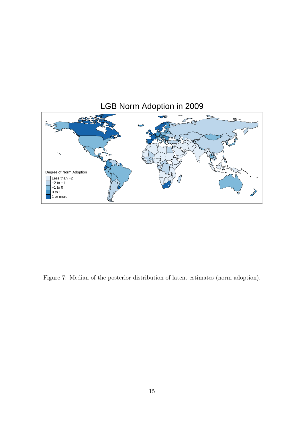# LGB Norm Adoption in 2009



Figure 7: Median of the posterior distribution of latent estimates (norm adoption).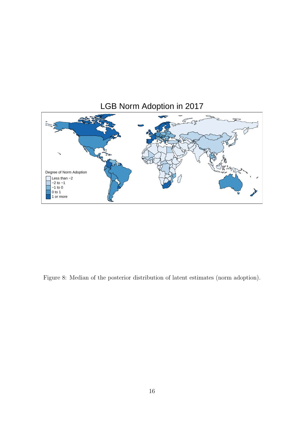# LGB Norm Adoption in 2017



Figure 8: Median of the posterior distribution of latent estimates (norm adoption).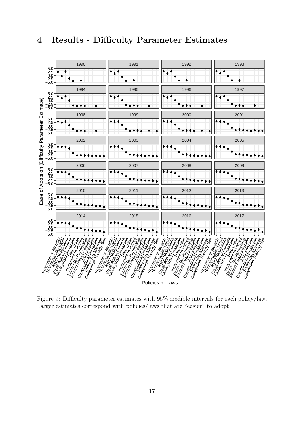## <span id="page-16-0"></span>4 Results - Difficulty Parameter Estimates



Figure 9: Difficulty parameter estimates with 95% credible intervals for each policy/law. Larger estimates correspond with policies/laws that are "easier" to adopt.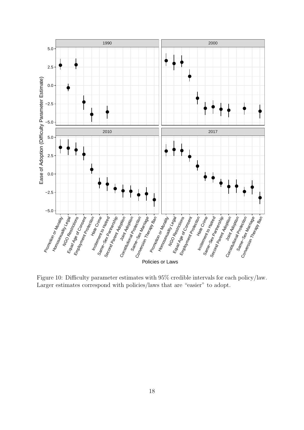

<span id="page-17-0"></span>Figure 10: Difficulty parameter estimates with 95% credible intervals for each policy/law. Larger estimates correspond with policies/laws that are "easier" to adopt.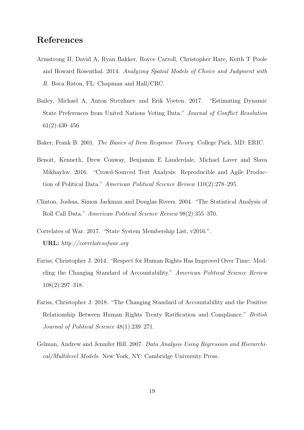### References

- <span id="page-18-0"></span>Armstrong II, David A, Ryan Bakker, Royce Carroll, Christopher Hare, Keith T Poole and Howard Rosenthal. 2014. Analyzing Spatial Models of Choice and Judgment with R. Boca Raton, FL: Chapman and Hall/CRC.
- <span id="page-18-3"></span>Bailey, Michael A, Anton Strezhnev and Erik Voeten. 2017. "Estimating Dynamic State Preferences from United Nations Voting Data." Journal of Conflict Resolution 61(2):430–456.
- <span id="page-18-1"></span>Baker, Frank B. 2001. The Basics of Item Response Theory. College Park, MD: ERIC.
- <span id="page-18-4"></span>Benoit, Kenneth, Drew Conway, Benjamin E Lauderdale, Michael Laver and Slava Mikhaylov. 2016. "Crowd-Sourced Text Analysis: Reproducible and Agile Production of Political Data." American Political Science Review 110(2):278–295.
- <span id="page-18-2"></span>Clinton, Joshua, Simon Jackman and Douglas Rivers. 2004. "The Statistical Analysis of Roll Call Data." American Political Science Review 98(2):355–370.
- <span id="page-18-7"></span>Correlates of War. 2017. "State System Membership List, v2016.". URL: http://correlatesofwar.org
- <span id="page-18-5"></span>Fariss, Christopher J. 2014. "Respect for Human Rights Has Improved Over Time: Modeling the Changing Standard of Accountability." American Political Science Review 108(2):297–318.
- <span id="page-18-6"></span>Fariss, Christopher J. 2018. "The Changing Standard of Accountability and the Positive Relationship Between Human Rights Treaty Ratification and Compliance." British Journal of Political Science 48(1):239–271.
- <span id="page-18-8"></span>Gelman, Andrew and Jennifer Hill. 2007. Data Analysis Using Regression and Hierarchical/Multilevel Models. New York, NY: Cambridge University Press.